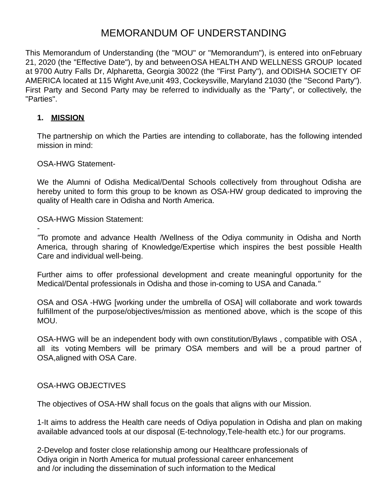# MEMORANDUM OF UNDERSTANDING

This Memorandum of Understanding (the "MOU" or "Memorandum"), is entered into on February 21, 2020 (the "Effective Date"), by and between OSA HEALTH AND WELLNESS GROUP located at 9700 Autry Falls Dr, Alpharetta, Georgia 30022 (the "First Party"), and ODISHA SOCIETY OF AMERICA located at 115 Wight Ave,unit 493, Cockeysville, Maryland 21030 (the "Second Party"). First Party and Second Party may be referred to individually as the "Party", or collectively, the "Parties".

### **1. MISSION**

-

The partnership on which the Parties are intending to collaborate, has the following intended mission in mind:

OSA-HWG Statement-

We the Alumni of Odisha Medical/Dental Schools collectively from throughout Odisha are hereby united to form this group to be known as OSA-HW group dedicated to improving the quality of Health care in Odisha and North America.

OSA-HWG Mission Statement:

*"*To promote and advance Health /Wellness of the Odiya community in Odisha and North America, through sharing of Knowledge/Expertise which inspires the best possible Health Care and individual well-being.

Further aims to offer professional development and create meaningful opportunity for the Medical/Dental professionals in Odisha and those in-coming to USA and Canada.*"*

OSA and OSA -HWG [working under the umbrella of OSA] will collaborate and work towards fulfillment of the purpose/objectives/mission as mentioned above, which is the scope of this MOU.

OSA-HWG will be an independent body with own constitution/Bylaws , compatible with OSA , all its voting Members will be primary OSA members and will be a proud partner of OSA,aligned with OSA Care.

#### OSA-HWG OBJECTIVES

The objectives of OSA-HW shall focus on the goals that aligns with our Mission.

1-It aims to address the Health care needs of Odiya population in Odisha and plan on making available advanced tools at our disposal (E-technology,Tele-health etc.) for our programs.

2-Develop and foster close relationship among our Healthcare professionals of Odiya origin in North America for mutual professional career enhancement and /or including the dissemination of such information to the Medical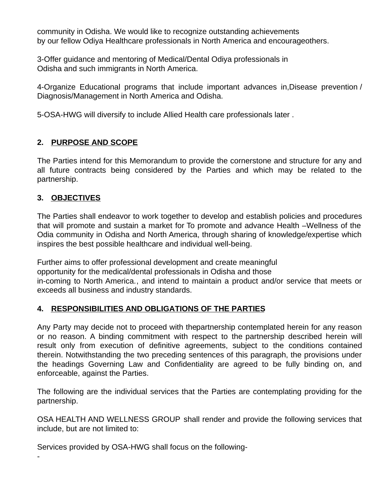community in Odisha. We would like to recognize outstanding achievements by our fellow Odiya Healthcare professionals in North America and encourageothers.

3-Offer guidance and mentoring of Medical/Dental Odiya professionals in Odisha and such immigrants in North America.

4-Organize Educational programs that include important advances in,Disease prevention / Diagnosis/Management in North America and Odisha.

5-OSA-HWG will diversify to include Allied Health care professionals later .

# **2. PURPOSE AND SCOPE**

The Parties intend for this Memorandum to provide the cornerstone and structure for any and all future contracts being considered by the Parties and which may be related to the partnership.

# **3. OBJECTIVES**

-

The Parties shall endeavor to work together to develop and establish policies and procedures that will promote and sustain a market for To promote and advance Health –Wellness of the Odia community in Odisha and North America, through sharing of knowledge/expertise which inspires the best possible healthcare and individual well-being.

Further aims to offer professional development and create meaningful opportunity for the medical/dental professionals in Odisha and those in-coming to North America., and intend to maintain a product and/or service that meets or exceeds all business and industry standards.

### **4. RESPONSIBILITIES AND OBLIGATIONS OF THE PARTIES**

Any Party may decide not to proceed with the partnership contemplated herein for any reason or no reason. A binding commitment with respect to the partnership described herein will result only from execution of definitive agreements, subject to the conditions contained therein. Notwithstanding the two preceding sentences of this paragraph, the provisions under the headings Governing Law and Confidentiality are agreed to be fully binding on, and enforceable, against the Parties.

The following are the individual services that the Parties are contemplating providing for the partnership.

OSA HEALTH AND WELLNESS GROUP shall render and provide the following services that include, but are not limited to:

Services provided by OSA-HWG shall focus on the following-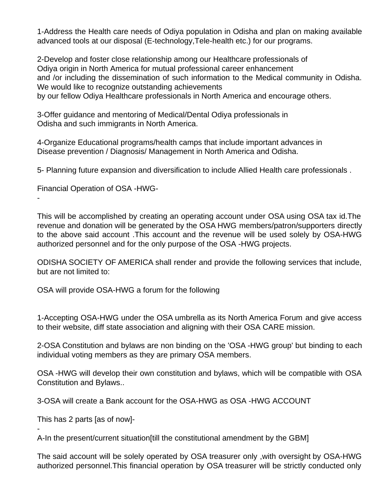1-Address the Health care needs of Odiya population in Odisha and plan on making available advanced tools at our disposal (E-technology,Tele-health etc.) for our programs.

2-Develop and foster close relationship among our Healthcare professionals of Odiya origin in North America for mutual professional career enhancement and /or including the dissemination of such information to the Medical community in Odisha. We would like to recognize outstanding achievements by our fellow Odiya Healthcare professionals in North America and encourage others.

3-Offer guidance and mentoring of Medical/Dental Odiya professionals in Odisha and such immigrants in North America.

4-Organize Educational programs/health camps that include important advances in Disease prevention / Diagnosis/ Management in North America and Odisha.

5- Planning future expansion and diversification to include Allied Health care professionals .

Financial Operation of OSA -HWG-

-

-

This will be accomplished by creating an operating account under OSA using OSA tax id.The revenue and donation will be generated by the OSA HWG members/patron/supporters directly to the above said account .This account and the revenue will be used solely by OSA-HWG authorized personnel and for the only purpose of the OSA -HWG projects.

ODISHA SOCIETY OF AMERICA shall render and provide the following services that include, but are not limited to:

OSA will provide OSA-HWG a forum for the following

1-Accepting OSA-HWG under the OSA umbrella as its North America Forum and give access to their website, diff state association and aligning with their OSA CARE mission.

2-OSA Constitution and bylaws are non binding on the 'OSA -HWG group' but binding to each individual voting members as they are primary OSA members.

OSA -HWG will develop their own constitution and bylaws, which will be compatible with OSA Constitution and Bylaws..

3-OSA will create a Bank account for the OSA-HWG as OSA -HWG ACCOUNT

This has 2 parts [as of now]-

A-In the present/current situation[till the constitutional amendment by the GBM]

The said account will be solely operated by OSA treasurer only ,with oversight by OSA-HWG authorized personnel.This financial operation by OSA treasurer will be strictly conducted only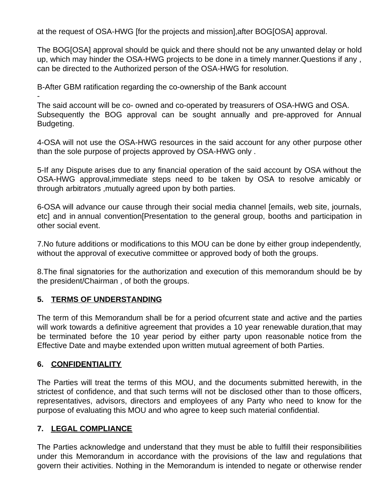at the request of OSA-HWG [for the projects and mission],after BOG[OSA] approval.

The BOG[OSA] approval should be quick and there should not be any unwanted delay or hold up, which may hinder the OSA-HWG projects to be done in a timely manner.Questions if any , can be directed to the Authorized person of the OSA-HWG for resolution.

B-After GBM ratification regarding the co-ownership of the Bank account

- The said account will be co- owned and co-operated by treasurers of OSA-HWG and OSA. Subsequently the BOG approval can be sought annually and pre-approved for Annual Budgeting.

4-OSA will not use the OSA-HWG resources in the said account for any other purpose other than the sole purpose of projects approved by OSA-HWG only .

5-If any Dispute arises due to any financial operation of the said account by OSA without the OSA-HWG approval,immediate steps need to be taken by OSA to resolve amicably or through arbitrators ,mutually agreed upon by both parties.

6-OSA will advance our cause through their social media channel [emails, web site, journals, etc] and in annual convention[Presentation to the general group, booths and participation in other social event.

7.No future additions or modifications to this MOU can be done by either group independently, without the approval of executive committee or approved body of both the groups.

8.The final signatories for the authorization and execution of this memorandum should be by the president/Chairman , of both the groups.

# **5. TERMS OF UNDERSTANDING**

The term of this Memorandum shall be for a period of current state and active and the parties will work towards a definitive agreement that provides a 10 year renewable duration,that may be terminated before the 10 year period by either party upon reasonable notice from the Effective Date and maybe extended upon written mutual agreement of both Parties.

# **6. CONFIDENTIALITY**

The Parties will treat the terms of this MOU, and the documents submitted herewith, in the strictest of confidence, and that such terms will not be disclosed other than to those officers, representatives, advisors, directors and employees of any Party who need to know for the purpose of evaluating this MOU and who agree to keep such material confidential.

# **7. LEGAL COMPLIANCE**

The Parties acknowledge and understand that they must be able to fulfill their responsibilities under this Memorandum in accordance with the provisions of the law and regulations that govern their activities. Nothing in the Memorandum is intended to negate or otherwise render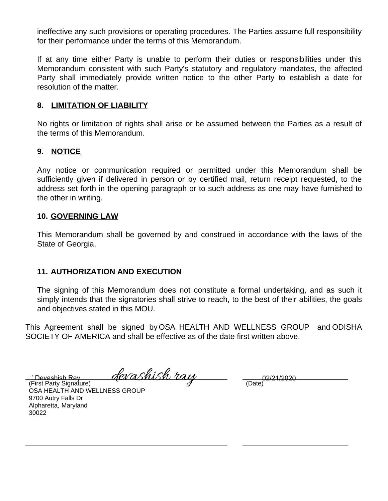ineffective any such provisions or operating procedures. The Parties assume full responsibility for their performance under the terms of this Memorandum.

If at any time either Party is unable to perform their duties or responsibilities under this Memorandum consistent with such Party's statutory and regulatory mandates, the affected Party shall immediately provide written notice to the other Party to establish a date for resolution of the matter.

#### **8. LIMITATION OF LIABILITY**

No rights or limitation of rights shall arise or be assumed between the Parties as a result of the terms of this Memorandum.

#### **9. NOTICE**

Any notice or communication required or permitted under this Memorandum shall be sufficiently given if delivered in person or by certified mail, return receipt requested, to the address set forth in the opening paragraph or to such address as one may have furnished to the other in writing.

#### **10. GOVERNING LAW**

This Memorandum shall be governed by and construed in accordance with the laws of the State of Georgia.

### **11. AUTHORIZATION AND EXECUTION**

The signing of this Memorandum does not constitute a formal undertaking, and as such it simply intends that the signatories shall strive to reach, to the best of their abilities, the goals and objectives stated in this MOU.

This Agreement shall be signed by OSA HEALTH AND WELLNESS GROUP and ODISHA SOCIETY OF AMERICA and shall be effective as of the date first written above.

Devashish Ray *devashish ray* 02/21/2020

(First Party Signature) OSA HEALTH AND WELLNESS GROUP 9700 Autry Falls Dr Alpharetta, Maryland 30022

(Date)